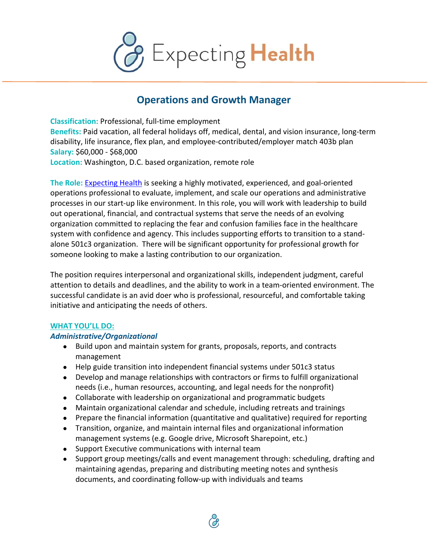

# **Operations and Growth Manager**

**Classification:** Professional, full-time employment **Benefits:** Paid vacation, all federal holidays off, medical, dental, and vision insurance, long-term disability, life insurance, flex plan, and employee-contributed/employer match 403b plan **Salary:** \$60,000 - \$68,000 **Location:** Washington, D.C. based organization, remote role

**The Role:** Expecting Health is seeking a highly motivated, experienced, and goal-oriented operations professional to evaluate, implement, and scale our operations and administrative processes in our start-up like environment. In this role, you will work with leadership to build out operational, financial, and contractual systems that serve the needs of an evolving organization committed to replacing the fear and confusion families face in the healthcare system with confidence and agency. This includes supporting efforts to transition to a standalone 501c3 organization. There will be significant opportunity for professional growth for someone looking to make a lasting contribution to our organization.

The position requires interpersonal and organizational skills, independent judgment, careful attention to details and deadlines, and the ability to work in a team-oriented environment. The successful candidate is an avid doer who is professional, resourceful, and comfortable taking initiative and anticipating the needs of others.

### **WHAT YOU'LL DO:**

## *Administrative/Organizational*

- Build upon and maintain system for grants, proposals, reports, and contracts management
- Help guide transition into independent financial systems under 501c3 status
- Develop and manage relationships with contractors or firms to fulfill organizational needs (i.e., human resources, accounting, and legal needs for the nonprofit)
- Collaborate with leadership on organizational and programmatic budgets
- Maintain organizational calendar and schedule, including retreats and trainings
- Prepare the financial information (quantitative and qualitative) required for reporting
- Transition, organize, and maintain internal files and organizational information management systems (e.g. Google drive, Microsoft Sharepoint, etc.)
- Support Executive communications with internal team
- Support group meetings/calls and event management through: scheduling, drafting and maintaining agendas, preparing and distributing meeting notes and synthesis documents, and coordinating follow-up with individuals and teams